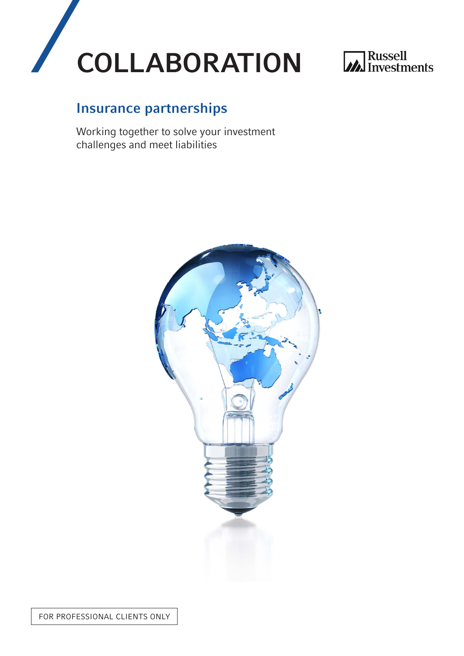



# Insurance partnerships

Working together to solve your investment challenges and meet liabilities

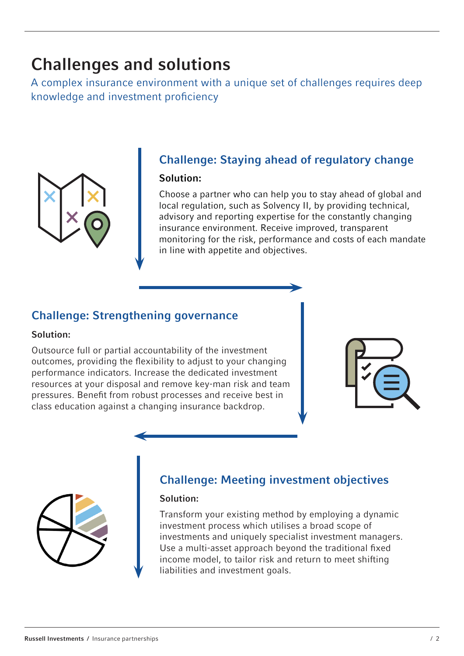# Challenges and solutions

A complex insurance environment with a unique set of challenges requires deep knowledge and investment proficiency



# Challenge: Staying ahead of regulatory change

#### Solution:

Choose a partner who can help you to stay ahead of global and local regulation, such as Solvency II, by providing technical, advisory and reporting expertise for the constantly changing insurance environment. Receive improved, transparent monitoring for the risk, performance and costs of each mandate in line with appetite and objectives.

## Challenge: Strengthening governance

#### Solution:

Outsource full or partial accountability of the investment outcomes, providing the flexibility to adjust to your changing performance indicators. Increase the dedicated investment resources at your disposal and remove key-man risk and team pressures. Benefit from robust processes and receive best in class education against a changing insurance backdrop.





## Challenge: Meeting investment objectives

#### Solution:

Transform your existing method by employing a dynamic investment process which utilises a broad scope of investments and uniquely specialist investment managers. Use a multi-asset approach beyond the traditional fixed income model, to tailor risk and return to meet shifting liabilities and investment goals.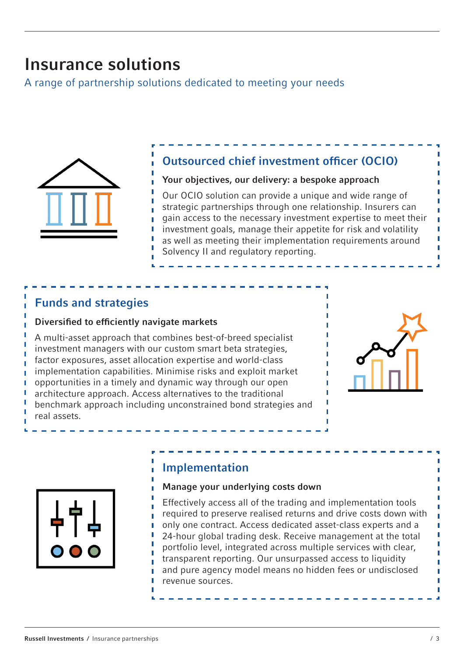# Insurance solutions

A range of partnership solutions dedicated to meeting your needs



## Outsourced chief investment officer (OCIO)

#### Your objectives, our delivery: a bespoke approach

Our OCIO solution can provide a unique and wide range of strategic partnerships through one relationship. Insurers can gain access to the necessary investment expertise to meet their investment goals, manage their appetite for risk and volatility as well as meeting their implementation requirements around Solvency II and regulatory reporting.

### Funds and strategies

#### Diversified to efficiently navigate markets

A multi-asset approach that combines best-of-breed specialist investment managers with our custom smart beta strategies, factor exposures, asset allocation expertise and world-class implementation capabilities. Minimise risks and exploit market opportunities in a timely and dynamic way through our open architecture approach. Access alternatives to the traditional benchmark approach including unconstrained bond strategies and real assets.





## Implementation

#### Manage your underlying costs down

Effectively access all of the trading and implementation tools required to preserve realised returns and drive costs down with only one contract. Access dedicated asset-class experts and a 24-hour global trading desk. Receive management at the total portfolio level, integrated across multiple services with clear, transparent reporting. Our unsurpassed access to liquidity and pure agency model means no hidden fees or undisclosed revenue sources.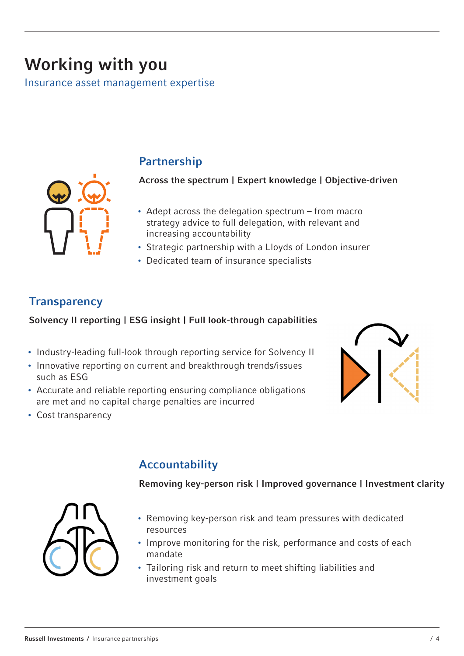# Working with you

Insurance asset management expertise



## Partnership

Across the spectrum | Expert knowledge | Objective-driven

- Adept across the delegation spectrum from macro strategy advice to full delegation, with relevant and increasing accountability
- Strategic partnership with a Lloyds of London insurer
- Dedicated team of insurance specialists

## **Transparency**

### Solvency II reporting | ESG insight | Full look-through capabilities

- Industry-leading full-look through reporting service for Solvency II
- Innovative reporting on current and breakthrough trends/issues such as ESG
- Accurate and reliable reporting ensuring compliance obligations are met and no capital charge penalties are incurred
- Cost transparency



# Accountability

Removing key-person risk | Improved governance | Investment clarity



- Removing key-person risk and team pressures with dedicated resources
- Improve monitoring for the risk, performance and costs of each mandate
- Tailoring risk and return to meet shifting liabilities and investment goals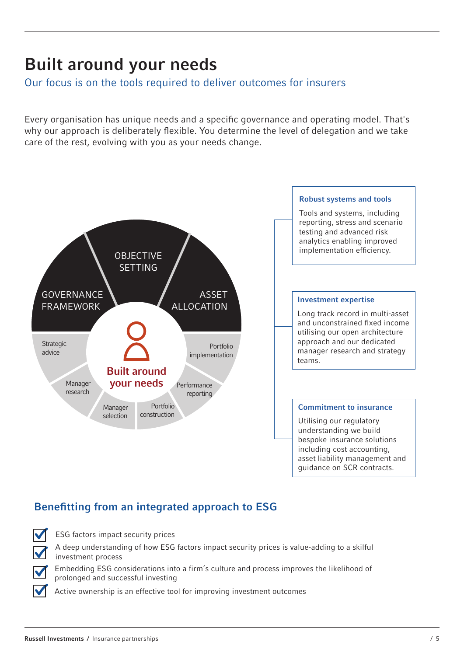# Built around your needs

### Our focus is on the tools required to deliver outcomes for insurers

Every organisation has unique needs and a specific governance and operating model. That's why our approach is deliberately flexible. You determine the level of delegation and we take care of the rest, evolving with you as your needs change.



## Benefitting from an integrated approach to ESG



ESG factors impact security prices

A deep understanding of how ESG factors impact security prices is value-adding to a skilful investment process

Embedding ESG considerations into a firm's culture and process improves the likelihood of prolonged and successful investing

Active ownership is an effective tool for improving investment outcomes